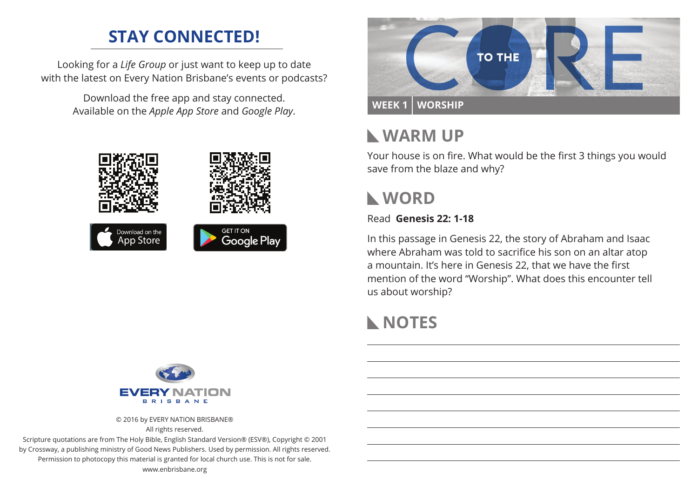## **STAY CONNECTED!**

Looking for a *Life Group* or just want to keep up to date with the latest on Every Nation Brisbane's events or podcasts?

> Download the free app and stay connected. Available on the *Apple App Store* and *Google Play*.





## **Warm Up**

Your house is on fire. What would be the first 3 things you would save from the blaze and why?

# **WORD**

Read **Genesis 22: 1-18**

In this passage in Genesis 22, the story of Abraham and Isaac where Abraham was told to sacrifice his son on an altar atop a mountain. It's here in Genesis 22, that we have the first mention of the word "Worship". What does this encounter tell us about worship?

# **NOTES**



© 2016 by EVERY NATION BRISBANE®

All rights reserved.

Scripture quotations are from The Holy Bible, English Standard Version® (ESV®), Copyright © 2001 by Crossway, a publishing ministry of Good News Publishers. Used by permission. All rights reserved. Permission to photocopy this material is granted for local church use. This is not for sale. www.enbrisbane.org